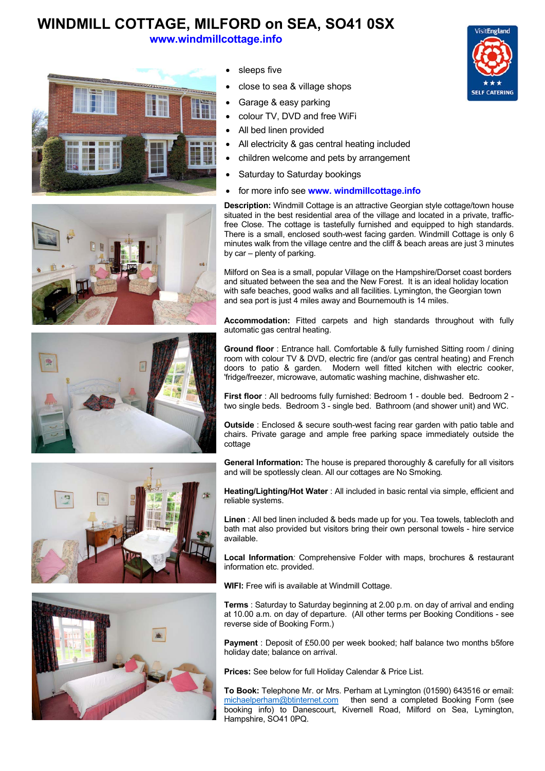## **WINDMILL COTTAGE, MILFORD on SEA, SO41 0SX**

**www.windmillcottage.info**





- sleeps five
- close to sea & village shops
- Garage & easy parking
- colour TV, DVD and free WiFi
- All bed linen provided
- All electricity & gas central heating included
- children welcome and pets by arrangement
- Saturday to Saturday bookings
- for more info see **www. windmillcottage.info**







**Description:** Windmill Cottage is an attractive Georgian style cottage/town house situated in the best residential area of the village and located in a private, trafficfree Close. The cottage is tastefully furnished and equipped to high standards. There is a small, enclosed south-west facing garden. Windmill Cottage is only 6 minutes walk from the village centre and the cliff & beach areas are just 3 minutes by car – plenty of parking.

Milford on Sea is a small, popular Village on the Hampshire/Dorset coast borders and situated between the sea and the New Forest. It is an ideal holiday location with safe beaches, good walks and all facilities. Lymington, the Georgian town and sea port is just 4 miles away and Bournemouth is 14 miles.

**Accommodation:** Fitted carpets and high standards throughout with fully automatic gas central heating.

**Ground floor** : Entrance hall. Comfortable & fully furnished Sitting room / dining room with colour TV & DVD, electric fire (and/or gas central heating) and French doors to patio & garden. Modern well fitted kitchen with electric cooker, 'fridge/freezer, microwave, automatic washing machine, dishwasher etc.

**First floor** : All bedrooms fully furnished: Bedroom 1 - double bed. Bedroom 2 two single beds. Bedroom 3 - single bed. Bathroom (and shower unit) and WC.

**Outside** : Enclosed & secure south-west facing rear garden with patio table and chairs. Private garage and ample free parking space immediately outside the cottage

**General Information:** The house is prepared thoroughly & carefully for all visitors and will be spotlessly clean. All our cottages are No Smoking*.* 

**Heating/Lighting/Hot Water** : All included in basic rental via simple, efficient and reliable systems.

**Linen** : All bed linen included & beds made up for you. Tea towels, tablecloth and bath mat also provided but visitors bring their own personal towels - hire service available.

**Local Information***:* Comprehensive Folder with maps, brochures & restaurant information etc. provided.

**WIFI:** Free wifi is available at Windmill Cottage.

**Terms** : Saturday to Saturday beginning at 2.00 p.m. on day of arrival and ending at 10.00 a.m. on day of departure. (All other terms per Booking Conditions - see reverse side of Booking Form.)

**Payment** : Deposit of £50.00 per week booked; half balance two months b5fore holiday date; balance on arrival.

**Prices:** See below for full Holiday Calendar & Price List.

**To Book:** Telephone Mr. or Mrs. Perham at Lymington (01590) 643516 or email: michaelperham@btinternet.com then send a completed Booking Form (see booking info) to Danescourt, Kivernell Road, Milford on Sea, Lymington, Hampshire, SO41 0PQ.